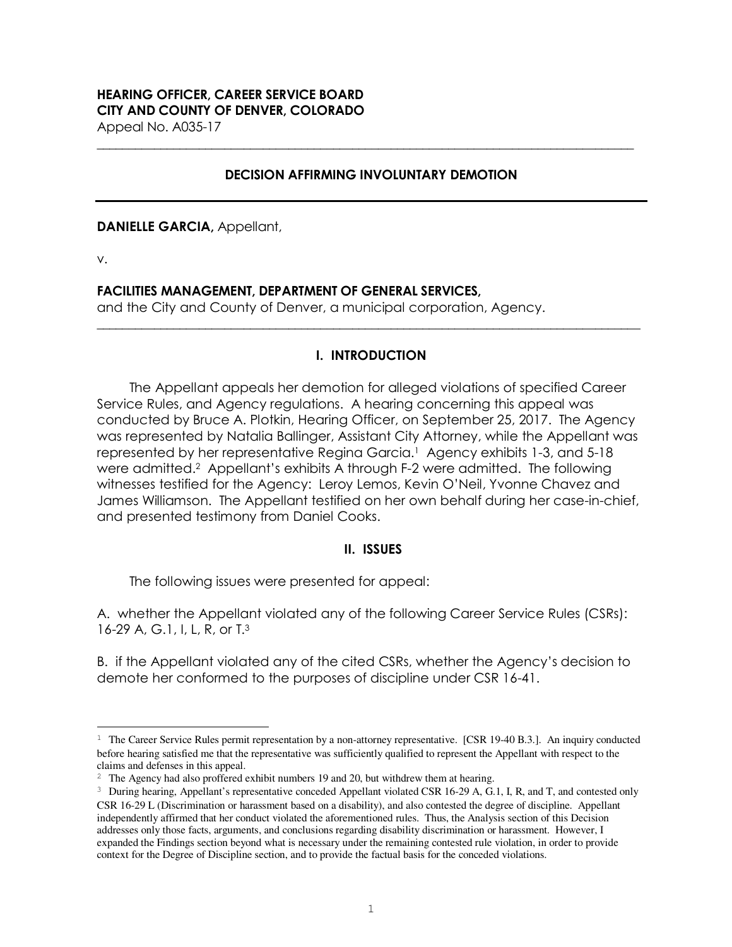# **HEARING OFFICER, CAREER SERVICE BOARD CITY AND COUNTY OF DENVER, COLORADO**

Appeal No. A035-17

### **DECISION AFFIRMING INVOLUNTARY DEMOTION**

**\_\_\_\_\_\_\_\_\_\_\_\_\_\_\_\_\_\_\_\_\_\_\_\_\_\_\_\_\_\_\_\_\_\_\_\_\_\_\_\_\_\_\_\_\_\_\_\_\_\_\_\_\_\_\_\_\_\_\_\_\_\_\_\_\_\_\_\_\_\_\_\_\_\_\_\_\_\_\_\_\_\_\_\_**

**DANIELLE GARCIA,** Appellant,

v.

L

### **FACILITIES MANAGEMENT, DEPARTMENT OF GENERAL SERVICES,**

and the City and County of Denver, a municipal corporation, Agency.

### **I. INTRODUCTION**

**\_\_\_\_\_\_\_\_\_\_\_\_\_\_\_\_\_\_\_\_\_\_\_\_\_\_\_\_\_\_\_\_\_\_\_\_\_\_\_\_\_\_\_\_\_\_\_\_\_\_\_\_\_\_\_\_\_\_\_\_\_\_\_\_\_\_\_\_\_\_\_\_\_\_\_\_\_\_\_\_\_\_\_\_\_** 

The Appellant appeals her demotion for alleged violations of specified Career Service Rules, and Agency regulations. A hearing concerning this appeal was conducted by Bruce A. Plotkin, Hearing Officer, on September 25, 2017. The Agency was represented by Natalia Ballinger, Assistant City Attorney, while the Appellant was represented by her representative Regina Garcia.<sup>1</sup> Agency exhibits 1-3, and 5-18 were admitted.<sup>2</sup> Appellant's exhibits A through F-2 were admitted. The following witnesses testified for the Agency: Leroy Lemos, Kevin O'Neil, Yvonne Chavez and James Williamson. The Appellant testified on her own behalf during her case-in-chief, and presented testimony from Daniel Cooks.

### **II. ISSUES**

The following issues were presented for appeal:

A. whether the Appellant violated any of the following Career Service Rules (CSRs): 16-29 A, G.1, I, L, R, or T.<sup>3</sup>

B. if the Appellant violated any of the cited CSRs, whether the Agency's decision to demote her conformed to the purposes of discipline under CSR 16-41.

<sup>1</sup> The Career Service Rules permit representation by a non-attorney representative. [CSR 19-40 B.3.].An inquiry conducted before hearing satisfied me that the representative was sufficiently qualified to represent the Appellant with respect to the claims and defenses in this appeal.

<sup>&</sup>lt;sup>2</sup> The Agency had also proffered exhibit numbers 19 and 20, but withdrew them at hearing.

<sup>&</sup>lt;sup>3</sup> During hearing, Appellant's representative conceded Appellant violated CSR 16-29 A, G.1, I, R, and T, and contested only CSR 16-29 L (Discrimination or harassment based on a disability), and also contested the degree of discipline. Appellant independently affirmed that her conduct violated the aforementioned rules. Thus, the Analysis section of this Decision addresses only those facts, arguments, and conclusions regarding disability discrimination or harassment. However, I expanded the Findings section beyond what is necessary under the remaining contested rule violation, in order to provide context for the Degree of Discipline section, and to provide the factual basis for the conceded violations.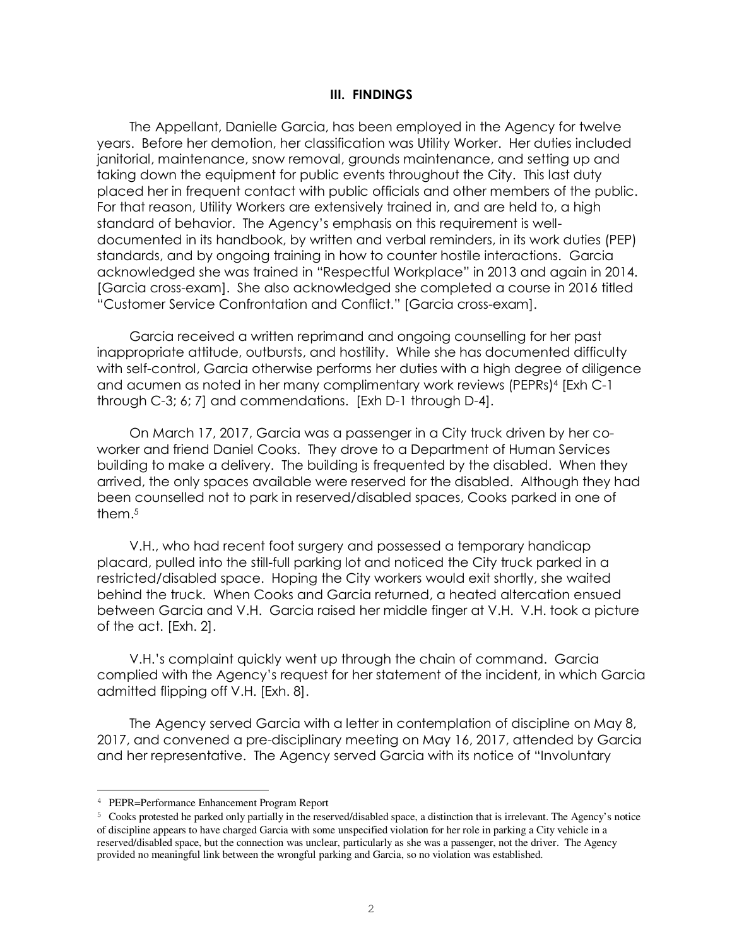#### **III. FINDINGS**

The Appellant, Danielle Garcia, has been employed in the Agency for twelve years. Before her demotion, her classification was Utility Worker. Her duties included janitorial, maintenance, snow removal, grounds maintenance, and setting up and taking down the equipment for public events throughout the City. This last duty placed her in frequent contact with public officials and other members of the public. For that reason, Utility Workers are extensively trained in, and are held to, a high standard of behavior. The Agency's emphasis on this requirement is welldocumented in its handbook, by written and verbal reminders, in its work duties (PEP) standards, and by ongoing training in how to counter hostile interactions. Garcia acknowledged she was trained in "Respectful Workplace" in 2013 and again in 2014. [Garcia cross-exam]. She also acknowledged she completed a course in 2016 titled "Customer Service Confrontation and Conflict." [Garcia cross-exam].

Garcia received a written reprimand and ongoing counselling for her past inappropriate attitude, outbursts, and hostility. While she has documented difficulty with self-control, Garcia otherwise performs her duties with a high degree of diligence and acumen as noted in her many complimentary work reviews (PEPRs)<sup>4</sup> [Exh C-1 through C-3; 6; 7] and commendations. [Exh D-1 through D-4].

On March 17, 2017, Garcia was a passenger in a City truck driven by her coworker and friend Daniel Cooks. They drove to a Department of Human Services building to make a delivery. The building is frequented by the disabled. When they arrived, the only spaces available were reserved for the disabled. Although they had been counselled not to park in reserved/disabled spaces, Cooks parked in one of them.<sup>5</sup>

V.H., who had recent foot surgery and possessed a temporary handicap placard, pulled into the still-full parking lot and noticed the City truck parked in a restricted/disabled space. Hoping the City workers would exit shortly, she waited behind the truck. When Cooks and Garcia returned, a heated altercation ensued between Garcia and V.H. Garcia raised her middle finger at V.H. V.H. took a picture of the act. [Exh. 2].

V.H.'s complaint quickly went up through the chain of command. Garcia complied with the Agency's request for her statement of the incident, in which Garcia admitted flipping off V.H. [Exh. 8].

The Agency served Garcia with a letter in contemplation of discipline on May 8, 2017, and convened a pre-disciplinary meeting on May 16, 2017, attended by Garcia and her representative. The Agency served Garcia with its notice of "Involuntary

j.

<sup>4</sup> PEPR=Performance Enhancement Program Report

<sup>5</sup> Cooks protested he parked only partially in the reserved/disabled space, a distinction that is irrelevant. The Agency's notice of discipline appears to have charged Garcia with some unspecified violation for her role in parking a City vehicle in a reserved/disabled space, but the connection was unclear, particularly as she was a passenger, not the driver. The Agency provided no meaningful link between the wrongful parking and Garcia, so no violation was established.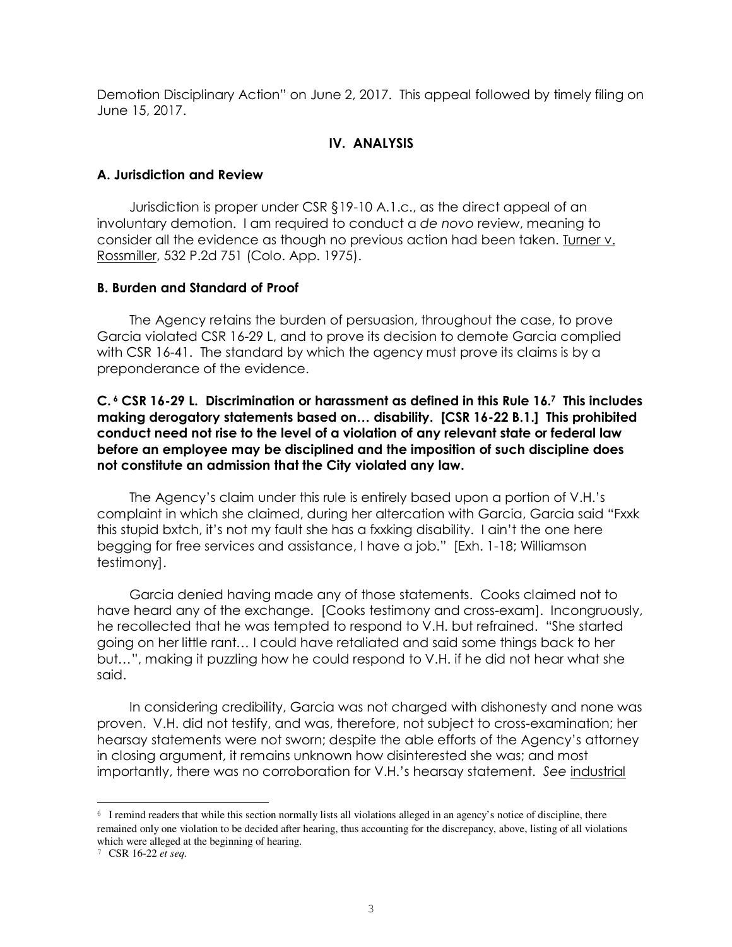Demotion Disciplinary Action" on June 2, 2017. This appeal followed by timely filing on June 15, 2017.

### **IV. ANALYSIS**

#### **A. Jurisdiction and Review**

Jurisdiction is proper under CSR §19-10 A.1.c., as the direct appeal of an involuntary demotion. I am required to conduct a *de novo* review, meaning to consider all the evidence as though no previous action had been taken. Turner v. Rossmiller, 532 P.2d 751 (Colo. App. 1975).

### **B. Burden and Standard of Proof**

The Agency retains the burden of persuasion, throughout the case, to prove Garcia violated CSR 16-29 L, and to prove its decision to demote Garcia complied with CSR 16-41. The standard by which the agency must prove its claims is by a preponderance of the evidence.

**C. 6 CSR 16-29 L. Discrimination or harassment as defined in this Rule 16.<sup>7</sup> This includes making derogatory statements based on… disability. [CSR 16-22 B.1.] This prohibited conduct need not rise to the level of a violation of any relevant state or federal law before an employee may be disciplined and the imposition of such discipline does not constitute an admission that the City violated any law.** 

The Agency's claim under this rule is entirely based upon a portion of V.H.'s complaint in which she claimed, during her altercation with Garcia, Garcia said "Fxxk this stupid bxtch, it's not my fault she has a fxxking disability. I ain't the one here begging for free services and assistance, I have a job." [Exh. 1-18; Williamson testimony].

Garcia denied having made any of those statements. Cooks claimed not to have heard any of the exchange. [Cooks testimony and cross-exam]. Incongruously, he recollected that he was tempted to respond to V.H. but refrained. "She started going on her little rant… I could have retaliated and said some things back to her but…", making it puzzling how he could respond to V.H. if he did not hear what she said.

In considering credibility, Garcia was not charged with dishonesty and none was proven. V.H. did not testify, and was, therefore, not subject to cross-examination; her hearsay statements were not sworn; despite the able efforts of the Agency's attorney in closing argument, it remains unknown how disinterested she was; and most importantly, there was no corroboration for V.H.'s hearsay statement. *See* industrial

L

<sup>6</sup> I remind readers that while this section normally lists all violations alleged in an agency's notice of discipline, there remained only one violation to be decided after hearing, thus accounting for the discrepancy, above, listing of all violations which were alleged at the beginning of hearing.

<sup>7</sup> CSR 16-22 *et seq.*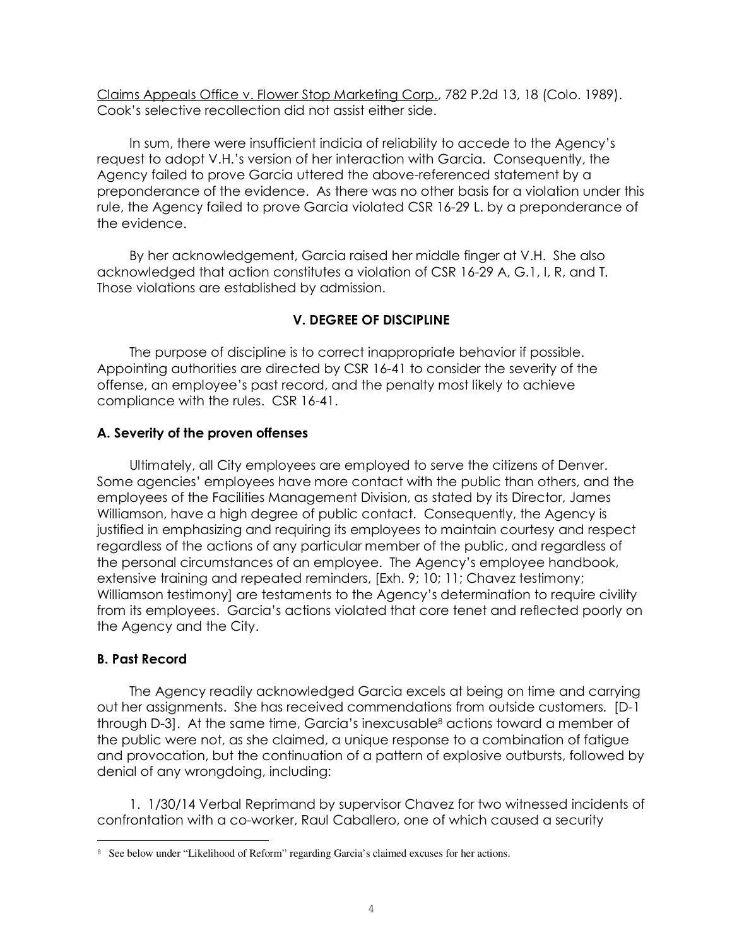Claims Appeals Office v. Flower Stop Marketing Corp., 782 P.2d 13, 18 (Colo. 1989). Cook's selective recollection did not assist either side.

In sum, there were insufficient indicia of reliability to accede to the Agency's request to adopt V.H.'s version of her interaction with Garcia. Consequently, the Agency failed to prove Garcia uttered the above-referenced statement by a preponderance of the evidence. As there was no other basis for a violation under this rule, the Agency failed to prove Garcia violated CSR 16-29 L. by a preponderance of the evidence.

By her acknowledgement, Garcia raised her middle finger at V.H. She also acknowledged that action constitutes a violation of CSR 16-29 A, G.1, I, R, and T. Those violations are established by admission.

# **V. DEGREE OF DISCIPLINE**

The purpose of discipline is to correct inappropriate behavior if possible. Appointing authorities are directed by CSR 16-41 to consider the severity of the offense, an employee's past record, and the penalty most likely to achieve compliance with the rules. CSR 16-41.

### **A. Severity of the proven offenses**

Ultimately, all City employees are employed to serve the citizens of Denver. Some agencies' employees have more contact with the public than others, and the employees of the Facilities Management Division, as stated by its Director, James Williamson, have a high degree of public contact. Consequently, the Agency is justified in emphasizing and requiring its employees to maintain courtesy and respect regardless of the actions of any particular member of the public, and regardless of the personal circumstances of an employee. The Agency's employee handbook, extensive training and repeated reminders, [Exh. 9; 10; 11; Chavez testimony; Williamson testimony] are testaments to the Agency's determination to require civility from its employees. Garcia's actions violated that core tenet and reflected poorly on the Agency and the City.

## **B. Past Record**

L

The Agency readily acknowledged Garcia excels at being on time and carrying out her assignments. She has received commendations from outside customers. [D-1 through D-3]. At the same time, Garcia's inexcusable<sup>8</sup> actions toward a member of the public were not, as she claimed, a unique response to a combination of fatigue and provocation, but the continuation of a pattern of explosive outbursts, followed by denial of any wrongdoing, including:

1. 1/30/14 Verbal Reprimand by supervisor Chavez for two witnessed incidents of confrontation with a co-worker, Raul Caballero, one of which caused a security

<sup>8</sup> See below under "Likelihood of Reform" regarding Garcia's claimed excuses for her actions.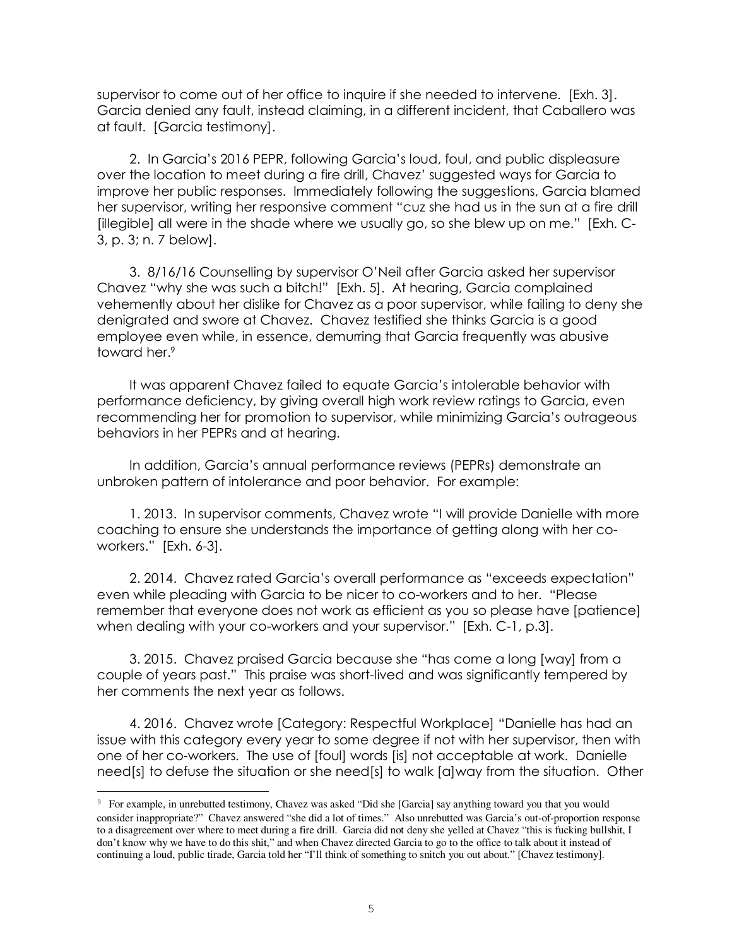supervisor to come out of her office to inquire if she needed to intervene. [Exh. 3]. Garcia denied any fault, instead claiming, in a different incident, that Caballero was at fault. [Garcia testimony].

2. In Garcia's 2016 PEPR, following Garcia's loud, foul, and public displeasure over the location to meet during a fire drill, Chavez' suggested ways for Garcia to improve her public responses. Immediately following the suggestions, Garcia blamed her supervisor, writing her responsive comment "cuz she had us in the sun at a fire drill [illegible] all were in the shade where we usually go, so she blew up on me." [Exh. C-3, p. 3; n. 7 below].

3. 8/16/16 Counselling by supervisor O'Neil after Garcia asked her supervisor Chavez "why she was such a bitch!" [Exh. 5].At hearing, Garcia complained vehemently about her dislike for Chavez as a poor supervisor, while failing to deny she denigrated and swore at Chavez. Chavez testified she thinks Garcia is a good employee even while, in essence, demurring that Garcia frequently was abusive toward her.<sup>9</sup>

It was apparent Chavez failed to equate Garcia's intolerable behavior with performance deficiency, by giving overall high work review ratings to Garcia, even recommending her for promotion to supervisor, while minimizing Garcia's outrageous behaviors in her PEPRs and at hearing.

In addition, Garcia's annual performance reviews (PEPRs) demonstrate an unbroken pattern of intolerance and poor behavior. For example:

1. 2013. In supervisor comments, Chavez wrote "I will provide Danielle with more coaching to ensure she understands the importance of getting along with her coworkers." [Exh. 6-3].

2. 2014. Chavez rated Garcia's overall performance as "exceeds expectation" even while pleading with Garcia to be nicer to co-workers and to her. "Please remember that everyone does not work as efficient as you so please have [patience] when dealing with your co-workers and your supervisor." [Exh. C-1, p.3].

3. 2015. Chavez praised Garcia because she "has come a long [way] from a couple of years past." This praise was short-lived and was significantly tempered by her comments the next year as follows.

4. 2016. Chavez wrote [Category: Respectful Workplace] "Danielle has had an issue with this category every year to some degree if not with her supervisor, then with one of her co-workers. The use of [foul] words [is] not acceptable at work. Danielle need[s] to defuse the situation or she need[s] to walk [a]way from the situation. Other

L

<sup>9</sup> For example, in unrebutted testimony, Chavez was asked "Did she [Garcia] say anything toward you that you would consider inappropriate?" Chavez answered "she did a lot of times." Also unrebutted was Garcia's out-of-proportion response to a disagreement over where to meet during a fire drill. Garcia did not deny she yelled at Chavez "this is fucking bullshit, I don't know why we have to do this shit," and when Chavez directed Garcia to go to the office to talk about it instead of continuing a loud, public tirade, Garcia told her "I'll think of something to snitch you out about." [Chavez testimony].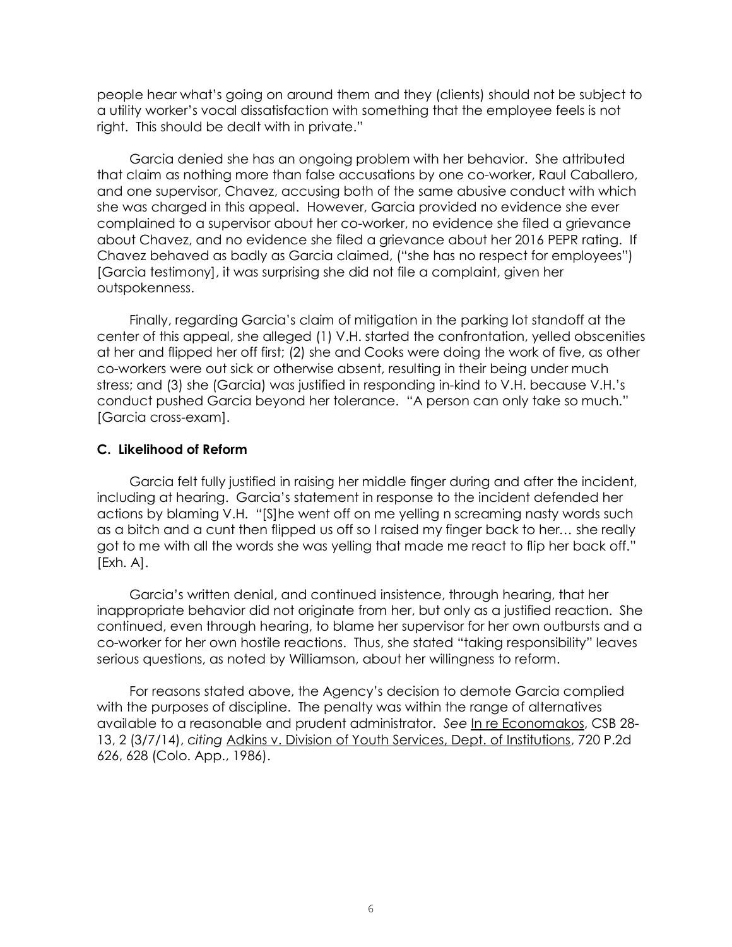people hear what's going on around them and they (clients) should not be subject to a utility worker's vocal dissatisfaction with something that the employee feels is not right. This should be dealt with in private."

Garcia denied she has an ongoing problem with her behavior. She attributed that claim as nothing more than false accusations by one co-worker, Raul Caballero, and one supervisor, Chavez, accusing both of the same abusive conduct with which she was charged in this appeal. However, Garcia provided no evidence she ever complained to a supervisor about her co-worker, no evidence she filed a grievance about Chavez, and no evidence she filed a grievance about her 2016 PEPR rating. If Chavez behaved as badly as Garcia claimed, ("she has no respect for employees") [Garcia testimony], it was surprising she did not file a complaint, given her outspokenness.

Finally, regarding Garcia's claim of mitigation in the parking lot standoff at the center of this appeal, she alleged (1) V.H. started the confrontation, yelled obscenities at her and flipped her off first; (2) she and Cooks were doing the work of five, as other co-workers were out sick or otherwise absent, resulting in their being under much stress; and (3) she (Garcia) was justified in responding in-kind to V.H. because V.H.'s conduct pushed Garcia beyond her tolerance. "A person can only take so much." [Garcia cross-exam].

### **C. Likelihood of Reform**

Garcia felt fully justified in raising her middle finger during and after the incident, including at hearing. Garcia's statement in response to the incident defended her actions by blaming V.H. "[S]he went off on me yelling n screaming nasty words such as a bitch and a cunt then flipped us off so I raised my finger back to her… she really got to me with all the words she was yelling that made me react to flip her back off." [Exh. A].

Garcia's written denial, and continued insistence, through hearing, that her inappropriate behavior did not originate from her, but only as a justified reaction. She continued, even through hearing, to blame her supervisor for her own outbursts and a co-worker for her own hostile reactions. Thus, she stated "taking responsibility" leaves serious questions, as noted by Williamson, about her willingness to reform.

For reasons stated above, the Agency's decision to demote Garcia complied with the purposes of discipline. The penalty was within the range of alternatives available to a reasonable and prudent administrator. *See* In re Economakos, CSB 28- 13, 2 (3/7/14), *citing* Adkins v. Division of Youth Services, Dept. of Institutions, 720 P.2d 626, 628 (Colo. App., 1986).